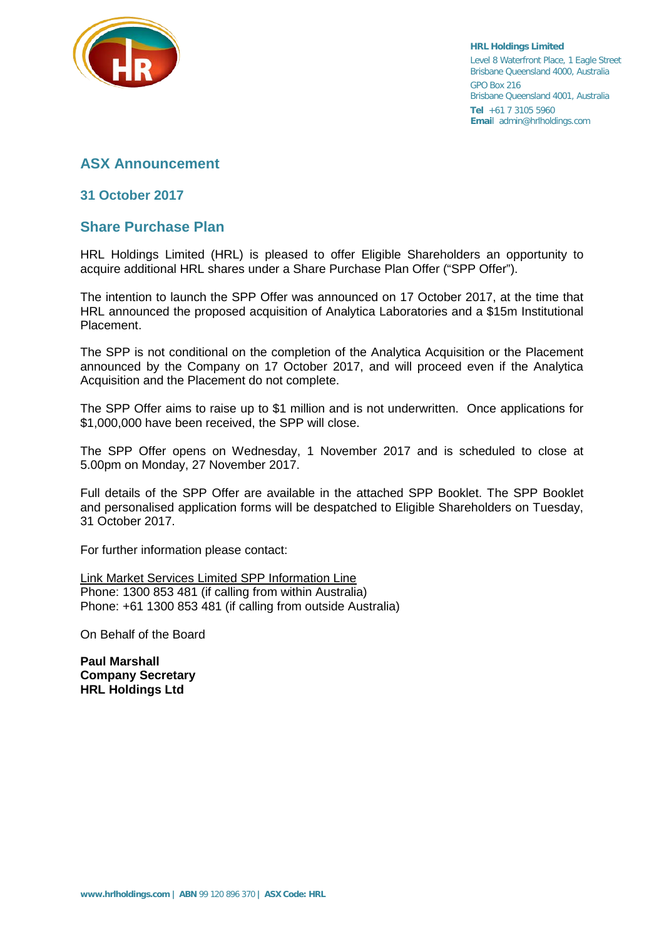

**HRL Holdings Limited** Level 8 Waterfront Place, 1 Eagle Street Brisbane Queensland 4000, Australia GPO Box 216 Brisbane Queensland 4001, Australia **Tel** +61 7 3105 5960 **Emai**l admin@hrlholdings.com

# **ASX Announcement**

## **31 October 2017**

# **Share Purchase Plan**

HRL Holdings Limited (HRL) is pleased to offer Eligible Shareholders an opportunity to acquire additional HRL shares under a Share Purchase Plan Offer ("SPP Offer").

The intention to launch the SPP Offer was announced on 17 October 2017, at the time that HRL announced the proposed acquisition of Analytica Laboratories and a \$15m Institutional Placement.

The SPP is not conditional on the completion of the Analytica Acquisition or the Placement announced by the Company on 17 October 2017, and will proceed even if the Analytica Acquisition and the Placement do not complete.

The SPP Offer aims to raise up to \$1 million and is not underwritten. Once applications for \$1,000,000 have been received, the SPP will close.

The SPP Offer opens on Wednesday, 1 November 2017 and is scheduled to close at 5.00pm on Monday, 27 November 2017.

Full details of the SPP Offer are available in the attached SPP Booklet. The SPP Booklet and personalised application forms will be despatched to Eligible Shareholders on Tuesday, 31 October 2017.

For further information please contact:

Link Market Services Limited SPP Information Line Phone: 1300 853 481 (if calling from within Australia) Phone: +61 1300 853 481 (if calling from outside Australia)

On Behalf of the Board

**Paul Marshall Company Secretary HRL Holdings Ltd**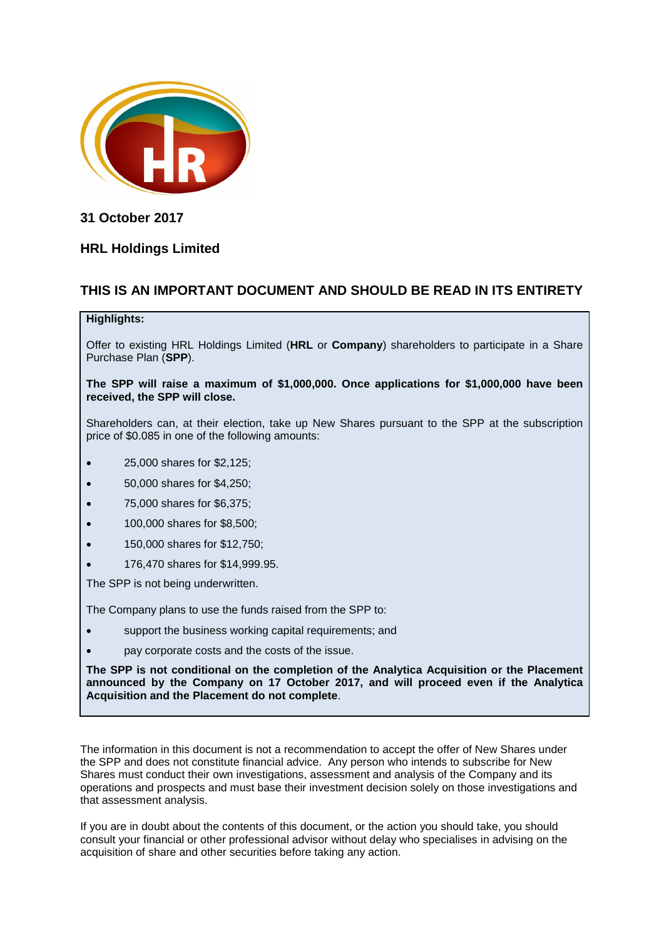

**31 October 2017**

# **HRL Holdings Limited**

## **THIS IS AN IMPORTANT DOCUMENT AND SHOULD BE READ IN ITS ENTIRETY**

#### **Highlights:**

Offer to existing HRL Holdings Limited (**HRL** or **Company**) shareholders to participate in a Share Purchase Plan (**SPP**).

**The SPP will raise a maximum of \$1,000,000. Once applications for \$1,000,000 have been received, the SPP will close.**

Shareholders can, at their election, take up New Shares pursuant to the SPP at the subscription price of \$0.085 in one of the following amounts:

- 25,000 shares for \$2,125;
- 50,000 shares for \$4,250;
- 75,000 shares for \$6,375;
- 100,000 shares for \$8,500;
- 150,000 shares for \$12,750;
- 176,470 shares for \$14,999.95.

The SPP is not being underwritten.

The Company plans to use the funds raised from the SPP to:

- support the business working capital requirements; and
- pay corporate costs and the costs of the issue.

**The SPP is not conditional on the completion of the Analytica Acquisition or the Placement announced by the Company on 17 October 2017, and will proceed even if the Analytica Acquisition and the Placement do not complete**.

The information in this document is not a recommendation to accept the offer of New Shares under the SPP and does not constitute financial advice. Any person who intends to subscribe for New Shares must conduct their own investigations, assessment and analysis of the Company and its operations and prospects and must base their investment decision solely on those investigations and that assessment analysis.

If you are in doubt about the contents of this document, or the action you should take, you should consult your financial or other professional advisor without delay who specialises in advising on the acquisition of share and other securities before taking any action.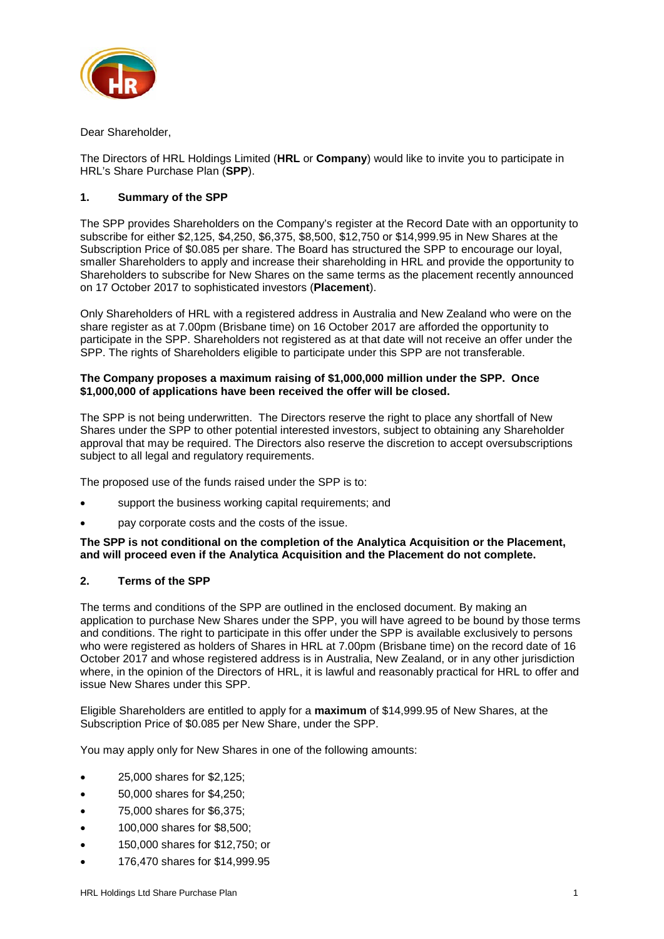

Dear Shareholder,

The Directors of HRL Holdings Limited (**HRL** or **Company**) would like to invite you to participate in HRL's Share Purchase Plan (**SPP**).

### **1. Summary of the SPP**

The SPP provides Shareholders on the Company's register at the Record Date with an opportunity to subscribe for either \$2,125, \$4,250, \$6,375, \$8,500, \$12,750 or \$14,999.95 in New Shares at the Subscription Price of \$0.085 per share. The Board has structured the SPP to encourage our loyal, smaller Shareholders to apply and increase their shareholding in HRL and provide the opportunity to Shareholders to subscribe for New Shares on the same terms as the placement recently announced on 17 October 2017 to sophisticated investors (**Placement**).

Only Shareholders of HRL with a registered address in Australia and New Zealand who were on the share register as at 7.00pm (Brisbane time) on 16 October 2017 are afforded the opportunity to participate in the SPP. Shareholders not registered as at that date will not receive an offer under the SPP. The rights of Shareholders eligible to participate under this SPP are not transferable.

#### **The Company proposes a maximum raising of \$1,000,000 million under the SPP. Once \$1,000,000 of applications have been received the offer will be closed.**

The SPP is not being underwritten. The Directors reserve the right to place any shortfall of New Shares under the SPP to other potential interested investors, subject to obtaining any Shareholder approval that may be required. The Directors also reserve the discretion to accept oversubscriptions subject to all legal and regulatory requirements.

The proposed use of the funds raised under the SPP is to:

- support the business working capital requirements; and
- pay corporate costs and the costs of the issue.

#### **The SPP is not conditional on the completion of the Analytica Acquisition or the Placement, and will proceed even if the Analytica Acquisition and the Placement do not complete.**

### **2. Terms of the SPP**

The terms and conditions of the SPP are outlined in the enclosed document. By making an application to purchase New Shares under the SPP, you will have agreed to be bound by those terms and conditions. The right to participate in this offer under the SPP is available exclusively to persons who were registered as holders of Shares in HRL at 7.00pm (Brisbane time) on the record date of 16 October 2017 and whose registered address is in Australia, New Zealand, or in any other jurisdiction where, in the opinion of the Directors of HRL, it is lawful and reasonably practical for HRL to offer and issue New Shares under this SPP.

Eligible Shareholders are entitled to apply for a **maximum** of \$14,999.95 of New Shares, at the Subscription Price of \$0.085 per New Share, under the SPP.

You may apply only for New Shares in one of the following amounts:

- 25,000 shares for \$2,125;
- 50,000 shares for \$4,250;
- 75,000 shares for \$6,375;
- 100,000 shares for \$8,500;
- 150,000 shares for \$12,750; or
- 176,470 shares for \$14,999.95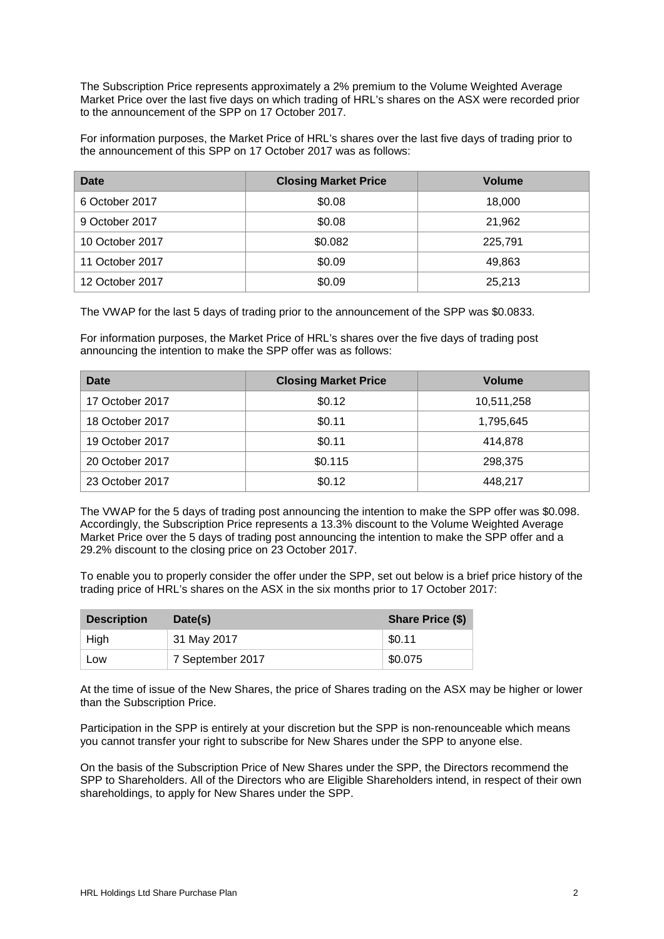The Subscription Price represents approximately a 2% premium to the Volume Weighted Average Market Price over the last five days on which trading of HRL's shares on the ASX were recorded prior to the announcement of the SPP on 17 October 2017.

For information purposes, the Market Price of HRL's shares over the last five days of trading prior to the announcement of this SPP on 17 October 2017 was as follows:

| Date            | <b>Closing Market Price</b> | <b>Volume</b> |
|-----------------|-----------------------------|---------------|
| 6 October 2017  | \$0.08                      | 18,000        |
| 9 October 2017  | \$0.08                      | 21,962        |
| 10 October 2017 | \$0.082                     | 225,791       |
| 11 October 2017 | \$0.09                      | 49,863        |
| 12 October 2017 | \$0.09                      | 25,213        |

The VWAP for the last 5 days of trading prior to the announcement of the SPP was \$0.0833.

For information purposes, the Market Price of HRL's shares over the five days of trading post announcing the intention to make the SPP offer was as follows:

| Date            | <b>Closing Market Price</b> | Volume     |
|-----------------|-----------------------------|------------|
| 17 October 2017 | \$0.12                      | 10,511,258 |
| 18 October 2017 | \$0.11                      | 1,795,645  |
| 19 October 2017 | \$0.11                      | 414,878    |
| 20 October 2017 | \$0.115                     | 298,375    |
| 23 October 2017 | \$0.12                      | 448,217    |

The VWAP for the 5 days of trading post announcing the intention to make the SPP offer was \$0.098. Accordingly, the Subscription Price represents a 13.3% discount to the Volume Weighted Average Market Price over the 5 days of trading post announcing the intention to make the SPP offer and a 29.2% discount to the closing price on 23 October 2017.

To enable you to properly consider the offer under the SPP, set out below is a brief price history of the trading price of HRL's shares on the ASX in the six months prior to 17 October 2017:

| <b>Description</b> | Date(s)          | <b>Share Price (\$)</b> |  |
|--------------------|------------------|-------------------------|--|
| High               | 31 May 2017      | \$0.11                  |  |
| Low                | 7 September 2017 | \$0.075                 |  |

At the time of issue of the New Shares, the price of Shares trading on the ASX may be higher or lower than the Subscription Price.

Participation in the SPP is entirely at your discretion but the SPP is non-renounceable which means you cannot transfer your right to subscribe for New Shares under the SPP to anyone else.

On the basis of the Subscription Price of New Shares under the SPP, the Directors recommend the SPP to Shareholders. All of the Directors who are Eligible Shareholders intend, in respect of their own shareholdings, to apply for New Shares under the SPP.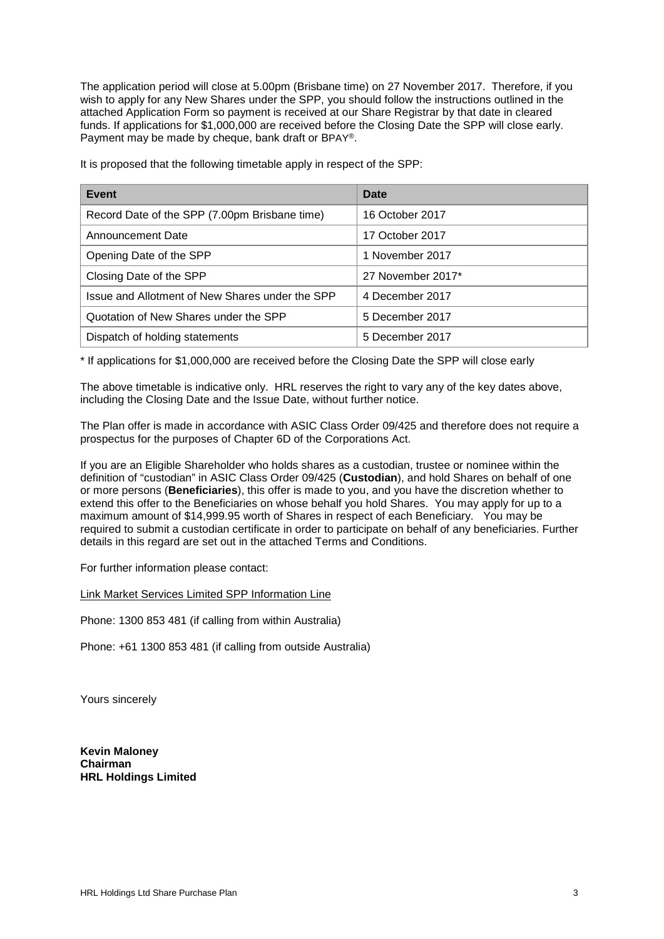The application period will close at 5.00pm (Brisbane time) on 27 November 2017. Therefore, if you wish to apply for any New Shares under the SPP, you should follow the instructions outlined in the attached Application Form so payment is received at our Share Registrar by that date in cleared funds. If applications for \$1,000,000 are received before the Closing Date the SPP will close early. Payment may be made by cheque, bank draft or BPAY®.

It is proposed that the following timetable apply in respect of the SPP:

| <b>Event</b>                                    | Date              |
|-------------------------------------------------|-------------------|
| Record Date of the SPP (7.00pm Brisbane time)   | 16 October 2017   |
| Announcement Date                               | 17 October 2017   |
| Opening Date of the SPP                         | 1 November 2017   |
| Closing Date of the SPP                         | 27 November 2017* |
| Issue and Allotment of New Shares under the SPP | 4 December 2017   |
| Quotation of New Shares under the SPP           | 5 December 2017   |
| Dispatch of holding statements                  | 5 December 2017   |

\* If applications for \$1,000,000 are received before the Closing Date the SPP will close early

The above timetable is indicative only. HRL reserves the right to vary any of the key dates above, including the Closing Date and the Issue Date, without further notice.

The Plan offer is made in accordance with ASIC Class Order 09/425 and therefore does not require a prospectus for the purposes of Chapter 6D of the Corporations Act.

If you are an Eligible Shareholder who holds shares as a custodian, trustee or nominee within the definition of "custodian" in ASIC Class Order 09/425 (**Custodian**), and hold Shares on behalf of one or more persons (**Beneficiaries**), this offer is made to you, and you have the discretion whether to extend this offer to the Beneficiaries on whose behalf you hold Shares. You may apply for up to a maximum amount of \$14,999.95 worth of Shares in respect of each Beneficiary. You may be required to submit a custodian certificate in order to participate on behalf of any beneficiaries. Further details in this regard are set out in the attached Terms and Conditions.

For further information please contact:

Link Market Services Limited SPP Information Line

Phone: 1300 853 481 (if calling from within Australia)

Phone: +61 1300 853 481 (if calling from outside Australia)

Yours sincerely

**Kevin Maloney Chairman HRL Holdings Limited**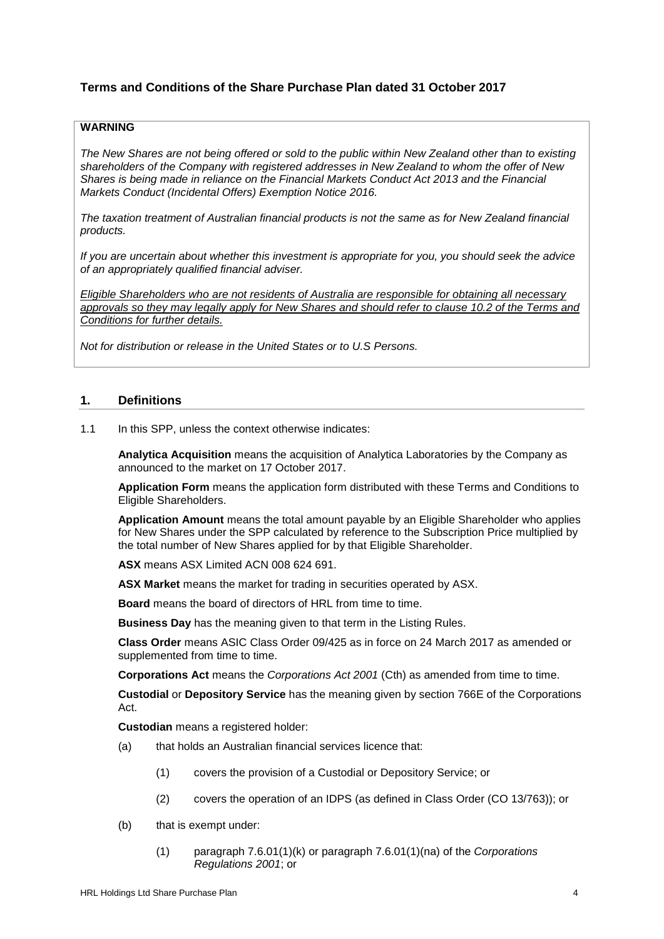## **Terms and Conditions of the Share Purchase Plan dated 31 October 2017**

### **WARNING**

*The New Shares are not being offered or sold to the public within New Zealand other than to existing shareholders of the Company with registered addresses in New Zealand to whom the offer of New Shares is being made in reliance on the Financial Markets Conduct Act 2013 and the Financial Markets Conduct (Incidental Offers) Exemption Notice 2016.* 

*The taxation treatment of Australian financial products is not the same as for New Zealand financial products.*

*If you are uncertain about whether this investment is appropriate for you, you should seek the advice of an appropriately qualified financial adviser.*

*Eligible Shareholders who are not residents of Australia are responsible for obtaining all necessary approvals so they may legally apply for New Shares and should refer to clause [10.2](#page-13-0) of the Terms and Conditions for further details.*

*Not for distribution or release in the United States or to U.S Persons.*

#### **1. Definitions**

1.1 In this SPP, unless the context otherwise indicates:

**Analytica Acquisition** means the acquisition of Analytica Laboratories by the Company as announced to the market on 17 October 2017.

**Application Form** means the application form distributed with these Terms and Conditions to Eligible Shareholders.

**Application Amount** means the total amount payable by an Eligible Shareholder who applies for New Shares under the SPP calculated by reference to the Subscription Price multiplied by the total number of New Shares applied for by that Eligible Shareholder.

**ASX** means ASX Limited ACN 008 624 691.

**ASX Market** means the market for trading in securities operated by ASX.

**Board** means the board of directors of HRL from time to time.

**Business Day** has the meaning given to that term in the Listing Rules.

**Class Order** means ASIC Class Order 09/425 as in force on 24 March 2017 as amended or supplemented from time to time.

**Corporations Act** means the *Corporations Act 2001* (Cth) as amended from time to time.

**Custodial** or **Depository Service** has the meaning given by section 766E of the Corporations Act.

**Custodian** means a registered holder:

- (a) that holds an Australian financial services licence that:
	- (1) covers the provision of a Custodial or Depository Service; or
	- (2) covers the operation of an IDPS (as defined in Class Order (CO 13/763)); or
- (b) that is exempt under:
	- (1) paragraph 7.6.01(1)(k) or paragraph 7.6.01(1)(na) of the *Corporations Regulations 2001*; or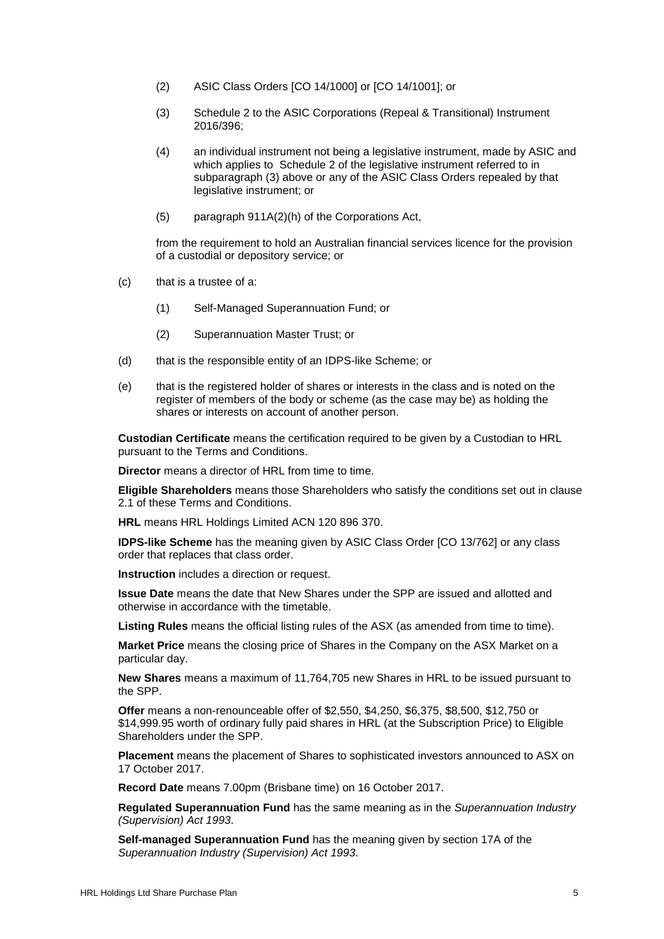- (2) ASIC Class Orders [CO 14/1000] or [CO 14/1001]; or
- (3) Schedule 2 to the ASIC Corporations (Repeal & Transitional) Instrument 2016/396;
- (4) an individual instrument not being a legislative instrument, made by ASIC and which applies to Schedule 2 of the legislative instrument referred to in subparagraph (3) above or any of the ASIC Class Orders repealed by that legislative instrument; or
- (5) paragraph 911A(2)(h) of the Corporations Act,

from the requirement to hold an Australian financial services licence for the provision of a custodial or depository service; or

- (c) that is a trustee of a:
	- (1) Self-Managed Superannuation Fund; or
	- (2) Superannuation Master Trust; or
- (d) that is the responsible entity of an IDPS-like Scheme; or
- (e) that is the registered holder of shares or interests in the class and is noted on the register of members of the body or scheme (as the case may be) as holding the shares or interests on account of another person.

**Custodian Certificate** means the certification required to be given by a Custodian to HRL pursuant to the Terms and Conditions.

**Director** means a director of HRL from time to time.

**Eligible Shareholders** means those Shareholders who satisfy the conditions set out in clause [2.1](#page-7-0) of these Terms and Conditions.

**HRL** means HRL Holdings Limited ACN 120 896 370.

**IDPS-like Scheme** has the meaning given by ASIC Class Order [CO 13/762] or any class order that replaces that class order.

**Instruction** includes a direction or request.

**Issue Date** means the date that New Shares under the SPP are issued and allotted and otherwise in accordance with the timetable.

**Listing Rules** means the official listing rules of the ASX (as amended from time to time).

**Market Price** means the closing price of Shares in the Company on the ASX Market on a particular day.

**New Shares** means a maximum of 11,764,705 new Shares in HRL to be issued pursuant to the SPP.

**Offer** means a non-renounceable offer of \$2,550, \$4,250, \$6,375, \$8,500, \$12,750 or \$14,999.95 worth of ordinary fully paid shares in HRL (at the Subscription Price) to Eligible Shareholders under the SPP.

**Placement** means the placement of Shares to sophisticated investors announced to ASX on 17 October 2017.

**Record Date** means 7.00pm (Brisbane time) on 16 October 2017.

**Regulated Superannuation Fund** has the same meaning as in the *Superannuation Industry (Supervision) Act 1993*.

**Self-managed Superannuation Fund** has the meaning given by section 17A of the *Superannuation Industry (Supervision) Act 1993*.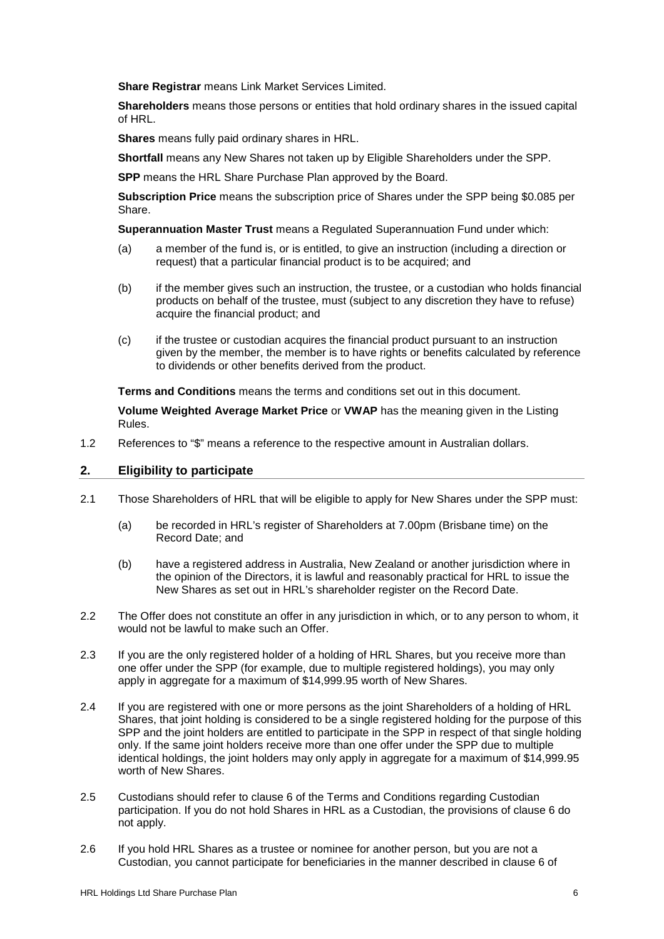**Share Registrar** means Link Market Services Limited.

**Shareholders** means those persons or entities that hold ordinary shares in the issued capital of HRL.

**Shares** means fully paid ordinary shares in HRL.

**Shortfall** means any New Shares not taken up by Eligible Shareholders under the SPP.

**SPP** means the HRL Share Purchase Plan approved by the Board.

**Subscription Price** means the subscription price of Shares under the SPP being \$0.085 per Share.

**Superannuation Master Trust** means a Regulated Superannuation Fund under which:

- (a) a member of the fund is, or is entitled, to give an instruction (including a direction or request) that a particular financial product is to be acquired; and
- (b) if the member gives such an instruction, the trustee, or a custodian who holds financial products on behalf of the trustee, must (subject to any discretion they have to refuse) acquire the financial product; and
- (c) if the trustee or custodian acquires the financial product pursuant to an instruction given by the member, the member is to have rights or benefits calculated by reference to dividends or other benefits derived from the product.

**Terms and Conditions** means the terms and conditions set out in this document.

**Volume Weighted Average Market Price** or **VWAP** has the meaning given in the Listing Rules.

1.2 References to "\$" means a reference to the respective amount in Australian dollars.

### **2. Eligibility to participate**

- <span id="page-7-0"></span>2.1 Those Shareholders of HRL that will be eligible to apply for New Shares under the SPP must:
	- (a) be recorded in HRL's register of Shareholders at 7.00pm (Brisbane time) on the Record Date; and
	- (b) have a registered address in Australia, New Zealand or another jurisdiction where in the opinion of the Directors, it is lawful and reasonably practical for HRL to issue the New Shares as set out in HRL's shareholder register on the Record Date.
- 2.2 The Offer does not constitute an offer in any jurisdiction in which, or to any person to whom, it would not be lawful to make such an Offer.
- <span id="page-7-1"></span>2.3 If you are the only registered holder of a holding of HRL Shares, but you receive more than one offer under the SPP (for example, due to multiple registered holdings), you may only apply in aggregate for a maximum of \$14,999.95 worth of New Shares.
- 2.4 If you are registered with one or more persons as the joint Shareholders of a holding of HRL Shares, that joint holding is considered to be a single registered holding for the purpose of this SPP and the joint holders are entitled to participate in the SPP in respect of that single holding only. If the same joint holders receive more than one offer under the SPP due to multiple identical holdings, the joint holders may only apply in aggregate for a maximum of \$14,999.95 worth of New Shares.
- 2.5 Custodians should refer to clause [6](#page-10-0) of the Terms and Conditions regarding Custodian participation. If you do not hold Shares in HRL as a Custodian, the provisions of clause [6](#page-10-0) do not apply.
- 2.6 If you hold HRL Shares as a trustee or nominee for another person, but you are not a Custodian, you cannot participate for beneficiaries in the manner described in clause [6](#page-10-0) of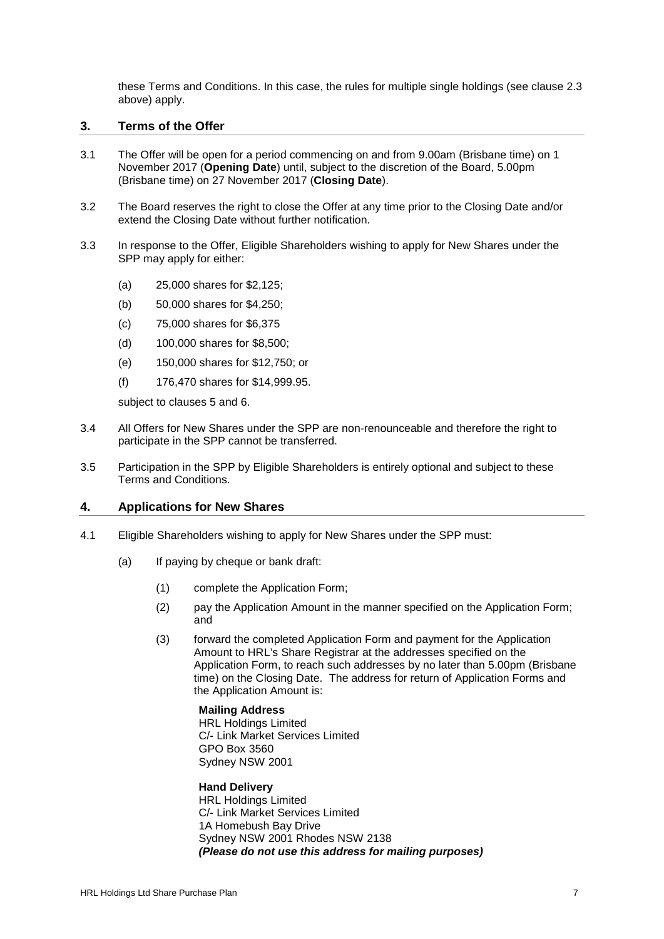these Terms and Conditions. In this case, the rules for multiple single holdings (see clause [2.3](#page-7-1) above) apply.

#### **3. Terms of the Offer**

- 3.1 The Offer will be open for a period commencing on and from 9.00am (Brisbane time) on 1 November 2017 (**Opening Date**) until, subject to the discretion of the Board, 5.00pm (Brisbane time) on 27 November 2017 (**Closing Date**).
- <span id="page-8-1"></span>3.2 The Board reserves the right to close the Offer at any time prior to the Closing Date and/or extend the Closing Date without further notification.
- <span id="page-8-2"></span>3.3 In response to the Offer, Eligible Shareholders wishing to apply for New Shares under the SPP may apply for either:
	- (a) 25,000 shares for \$2,125;
	- (b) 50,000 shares for \$4,250;
	- (c) 75,000 shares for \$6,375
	- (d) 100,000 shares for \$8,500;
	- (e) 150,000 shares for \$12,750; or
	- (f) 176,470 shares for \$14,999.95.

subject to clauses [5](#page-10-1) and [6.](#page-10-0)

- 3.4 All Offers for New Shares under the SPP are non-renounceable and therefore the right to participate in the SPP cannot be transferred.
- 3.5 Participation in the SPP by Eligible Shareholders is entirely optional and subject to these Terms and Conditions.

#### **4. Applications for New Shares**

- <span id="page-8-0"></span>4.1 Eligible Shareholders wishing to apply for New Shares under the SPP must:
	- (a) If paying by cheque or bank draft:
		- (1) complete the Application Form;
		- (2) pay the Application Amount in the manner specified on the Application Form; and
		- (3) forward the completed Application Form and payment for the Application Amount to HRL's Share Registrar at the addresses specified on the Application Form, to reach such addresses by no later than 5.00pm (Brisbane time) on the Closing Date. The address for return of Application Forms and the Application Amount is:

**Mailing Address** HRL Holdings Limited C/- Link Market Services Limited GPO Box 3560 Sydney NSW 2001

#### **Hand Delivery** HRL Holdings Limited C/- Link Market Services Limited 1A Homebush Bay Drive Sydney NSW 2001 Rhodes NSW 2138 *(Please do not use this address for mailing purposes)*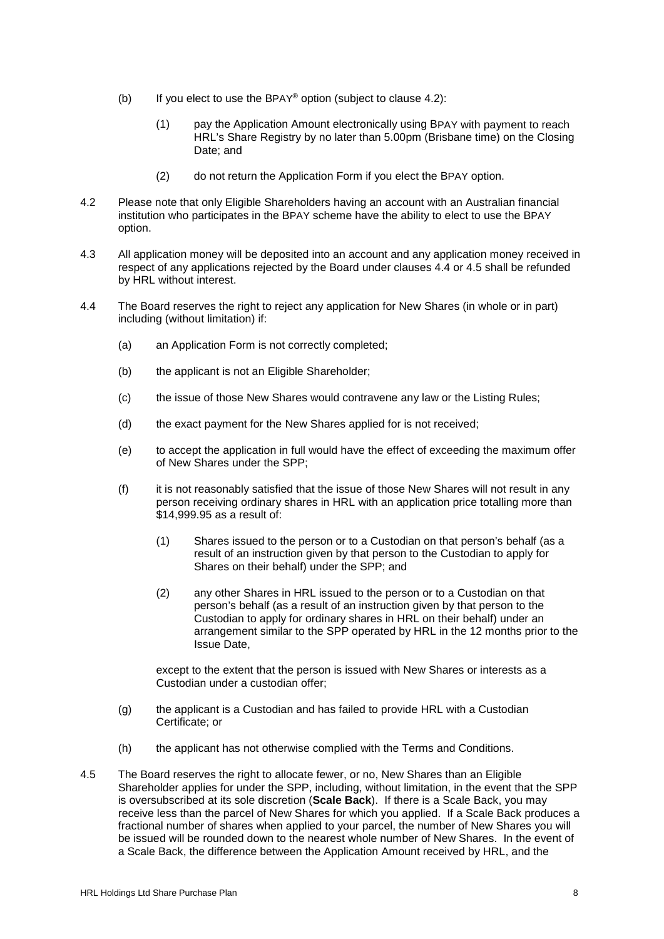- <span id="page-9-3"></span>(b) If you elect to use the BPAY® option (subject to clause [4.2\)](#page-9-0):
	- (1) pay the Application Amount electronically using BPAY with payment to reach HRL's Share Registry by no later than 5.00pm (Brisbane time) on the Closing Date; and
	- (2) do not return the Application Form if you elect the BPAY option.
- <span id="page-9-0"></span>4.2 Please note that only Eligible Shareholders having an account with an Australian financial institution who participates in the BPAY scheme have the ability to elect to use the BPAY option.
- 4.3 All application money will be deposited into an account and any application money received in respect of any applications rejected by the Board under clauses [4.4](#page-9-1) or [4.5](#page-9-2) shall be refunded by HRL without interest.
- <span id="page-9-1"></span>4.4 The Board reserves the right to reject any application for New Shares (in whole or in part) including (without limitation) if:
	- (a) an Application Form is not correctly completed;
	- (b) the applicant is not an Eligible Shareholder;
	- (c) the issue of those New Shares would contravene any law or the Listing Rules;
	- (d) the exact payment for the New Shares applied for is not received;
	- (e) to accept the application in full would have the effect of exceeding the maximum offer of New Shares under the SPP;
	- (f) it is not reasonably satisfied that the issue of those New Shares will not result in any person receiving ordinary shares in HRL with an application price totalling more than \$14,999.95 as a result of:
		- (1) Shares issued to the person or to a Custodian on that person's behalf (as a result of an instruction given by that person to the Custodian to apply for Shares on their behalf) under the SPP; and
		- (2) any other Shares in HRL issued to the person or to a Custodian on that person's behalf (as a result of an instruction given by that person to the Custodian to apply for ordinary shares in HRL on their behalf) under an arrangement similar to the SPP operated by HRL in the 12 months prior to the Issue Date,

except to the extent that the person is issued with New Shares or interests as a Custodian under a custodian offer;

- (g) the applicant is a Custodian and has failed to provide HRL with a Custodian Certificate; or
- (h) the applicant has not otherwise complied with the Terms and Conditions.
- <span id="page-9-2"></span>4.5 The Board reserves the right to allocate fewer, or no, New Shares than an Eligible Shareholder applies for under the SPP, including, without limitation, in the event that the SPP is oversubscribed at its sole discretion (**Scale Back**). If there is a Scale Back, you may receive less than the parcel of New Shares for which you applied. If a Scale Back produces a fractional number of shares when applied to your parcel, the number of New Shares you will be issued will be rounded down to the nearest whole number of New Shares. In the event of a Scale Back, the difference between the Application Amount received by HRL, and the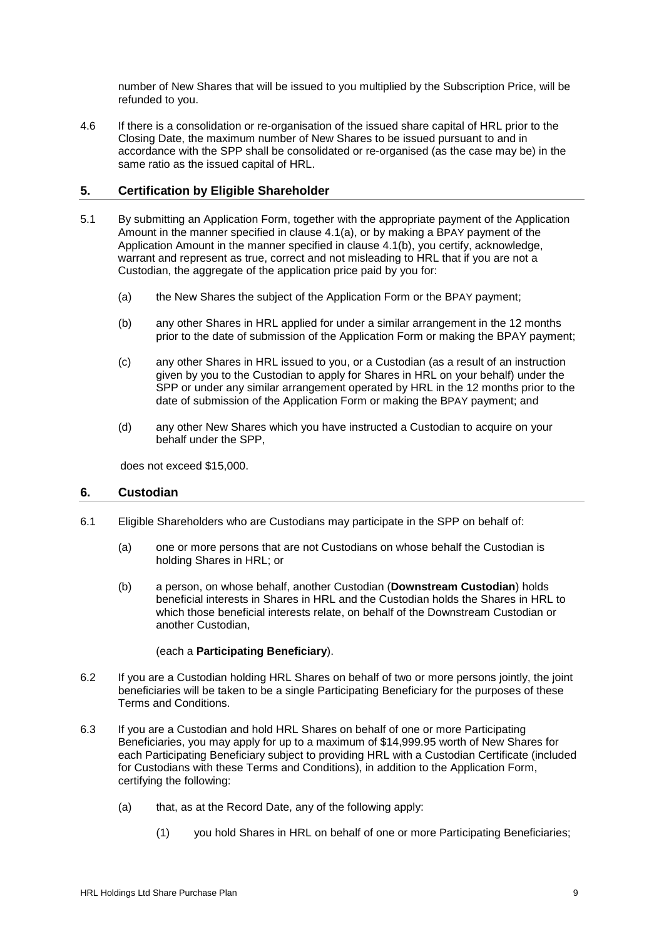number of New Shares that will be issued to you multiplied by the Subscription Price, will be refunded to you.

4.6 If there is a consolidation or re-organisation of the issued share capital of HRL prior to the Closing Date, the maximum number of New Shares to be issued pursuant to and in accordance with the SPP shall be consolidated or re-organised (as the case may be) in the same ratio as the issued capital of HRL.

## <span id="page-10-1"></span>**5. Certification by Eligible Shareholder**

- 5.1 By submitting an Application Form, together with the appropriate payment of the Application Amount in the manner specified in clause [4.1\(a\),](#page-8-0) or by making a BPAY payment of the Application Amount in the manner specified in clause [4.1\(b\),](#page-9-3) you certify, acknowledge, warrant and represent as true, correct and not misleading to HRL that if you are not a Custodian, the aggregate of the application price paid by you for:
	- (a) the New Shares the subject of the Application Form or the BPAY payment;
	- (b) any other Shares in HRL applied for under a similar arrangement in the 12 months prior to the date of submission of the Application Form or making the BPAY payment;
	- (c) any other Shares in HRL issued to you, or a Custodian (as a result of an instruction given by you to the Custodian to apply for Shares in HRL on your behalf) under the SPP or under any similar arrangement operated by HRL in the 12 months prior to the date of submission of the Application Form or making the BPAY payment; and
	- (d) any other New Shares which you have instructed a Custodian to acquire on your behalf under the SPP,

does not exceed \$15,000.

### <span id="page-10-0"></span>**6. Custodian**

- 6.1 Eligible Shareholders who are Custodians may participate in the SPP on behalf of:
	- (a) one or more persons that are not Custodians on whose behalf the Custodian is holding Shares in HRL; or
	- (b) a person, on whose behalf, another Custodian (**Downstream Custodian**) holds beneficial interests in Shares in HRL and the Custodian holds the Shares in HRL to which those beneficial interests relate, on behalf of the Downstream Custodian or another Custodian,

#### (each a **Participating Beneficiary**).

- 6.2 If you are a Custodian holding HRL Shares on behalf of two or more persons jointly, the joint beneficiaries will be taken to be a single Participating Beneficiary for the purposes of these Terms and Conditions.
- <span id="page-10-2"></span>6.3 If you are a Custodian and hold HRL Shares on behalf of one or more Participating Beneficiaries, you may apply for up to a maximum of \$14,999.95 worth of New Shares for each Participating Beneficiary subject to providing HRL with a Custodian Certificate (included for Custodians with these Terms and Conditions), in addition to the Application Form, certifying the following:
	- (a) that, as at the Record Date, any of the following apply:
		- (1) you hold Shares in HRL on behalf of one or more Participating Beneficiaries;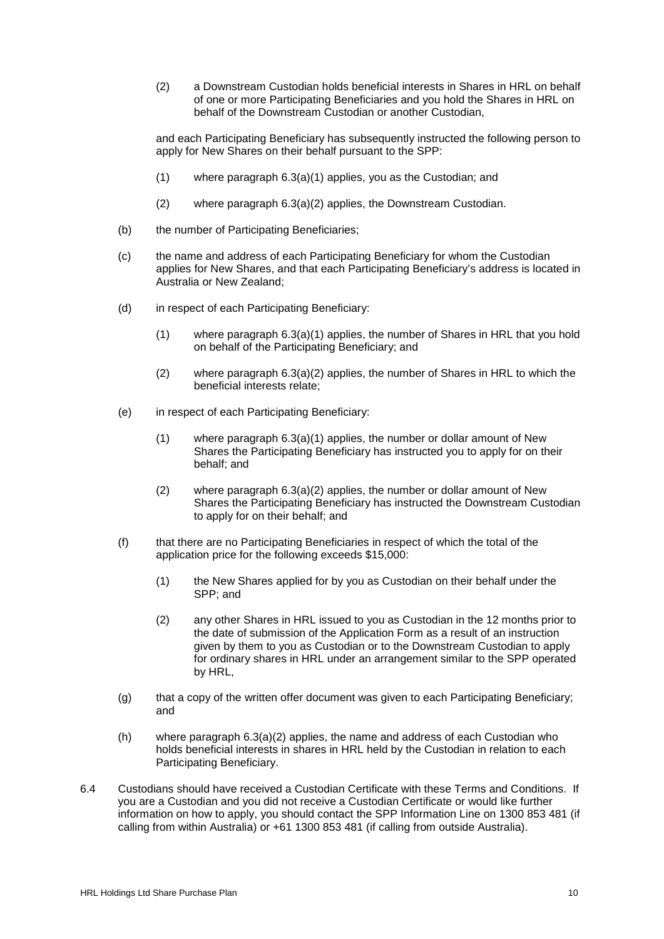<span id="page-11-0"></span>(2) a Downstream Custodian holds beneficial interests in Shares in HRL on behalf of one or more Participating Beneficiaries and you hold the Shares in HRL on behalf of the Downstream Custodian or another Custodian,

and each Participating Beneficiary has subsequently instructed the following person to apply for New Shares on their behalf pursuant to the SPP:

- (1) where paragraph [6.3\(a\)\(1\)](#page-10-2) applies, you as the Custodian; and
- (2) where paragraph [6.3\(a\)\(2\)](#page-11-0) applies, the Downstream Custodian.
- (b) the number of Participating Beneficiaries;
- (c) the name and address of each Participating Beneficiary for whom the Custodian applies for New Shares, and that each Participating Beneficiary's address is located in Australia or New Zealand;
- (d) in respect of each Participating Beneficiary:
	- (1) where paragraph [6.3\(a\)\(1\)](#page-10-2) applies, the number of Shares in HRL that you hold on behalf of the Participating Beneficiary; and
	- (2) where paragraph [6.3\(a\)\(2\)](#page-11-0) applies, the number of Shares in HRL to which the beneficial interests relate;
- (e) in respect of each Participating Beneficiary:
	- (1) where paragraph [6.3\(a\)\(1\)](#page-10-2) applies, the number or dollar amount of New Shares the Participating Beneficiary has instructed you to apply for on their behalf; and
	- (2) where paragraph [6.3\(a\)\(2\)](#page-11-0) applies, the number or dollar amount of New Shares the Participating Beneficiary has instructed the Downstream Custodian to apply for on their behalf; and
- (f) that there are no Participating Beneficiaries in respect of which the total of the application price for the following exceeds \$15,000:
	- (1) the New Shares applied for by you as Custodian on their behalf under the SPP; and
	- (2) any other Shares in HRL issued to you as Custodian in the 12 months prior to the date of submission of the Application Form as a result of an instruction given by them to you as Custodian or to the Downstream Custodian to apply for ordinary shares in HRL under an arrangement similar to the SPP operated by HRL,
- (g) that a copy of the written offer document was given to each Participating Beneficiary; and
- (h) where paragraph  $6.3(a)(2)$  applies, the name and address of each Custodian who holds beneficial interests in shares in HRL held by the Custodian in relation to each Participating Beneficiary.
- 6.4 Custodians should have received a Custodian Certificate with these Terms and Conditions. If you are a Custodian and you did not receive a Custodian Certificate or would like further information on how to apply, you should contact the SPP Information Line on 1300 853 481 (if calling from within Australia) or +61 1300 853 481 (if calling from outside Australia).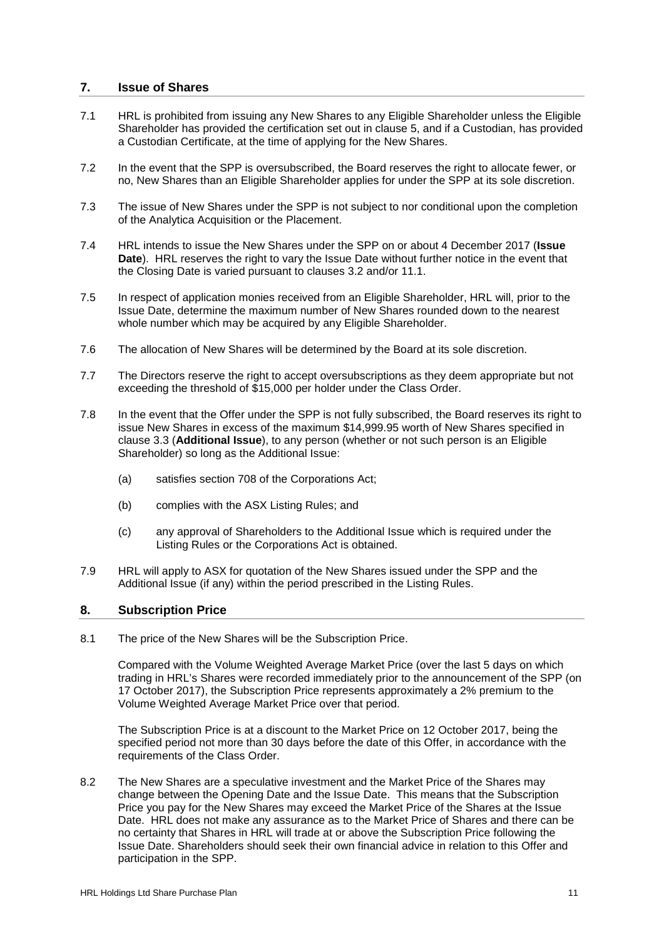### **7. Issue of Shares**

- 7.1 HRL is prohibited from issuing any New Shares to any Eligible Shareholder unless the Eligible Shareholder has provided the certification set out in clause [5,](#page-10-1) and if a Custodian, has provided a Custodian Certificate, at the time of applying for the New Shares.
- 7.2 In the event that the SPP is oversubscribed, the Board reserves the right to allocate fewer, or no, New Shares than an Eligible Shareholder applies for under the SPP at its sole discretion.
- 7.3 The issue of New Shares under the SPP is not subject to nor conditional upon the completion of the Analytica Acquisition or the Placement.
- 7.4 HRL intends to issue the New Shares under the SPP on or about 4 December 2017 (**Issue Date**). HRL reserves the right to vary the Issue Date without further notice in the event that the Closing Date is varied pursuant to clauses [3.2](#page-8-1) and/or [11.1.](#page-13-1)
- 7.5 In respect of application monies received from an Eligible Shareholder, HRL will, prior to the Issue Date, determine the maximum number of New Shares rounded down to the nearest whole number which may be acquired by any Eligible Shareholder.
- 7.6 The allocation of New Shares will be determined by the Board at its sole discretion.
- 7.7 The Directors reserve the right to accept oversubscriptions as they deem appropriate but not exceeding the threshold of \$15,000 per holder under the Class Order.
- 7.8 In the event that the Offer under the SPP is not fully subscribed, the Board reserves its right to issue New Shares in excess of the maximum \$14,999.95 worth of New Shares specified in clause [3.3](#page-8-2) (**Additional Issue**), to any person (whether or not such person is an Eligible Shareholder) so long as the Additional Issue:
	- (a) satisfies section 708 of the Corporations Act;
	- (b) complies with the ASX Listing Rules; and
	- (c) any approval of Shareholders to the Additional Issue which is required under the Listing Rules or the Corporations Act is obtained.
- 7.9 HRL will apply to ASX for quotation of the New Shares issued under the SPP and the Additional Issue (if any) within the period prescribed in the Listing Rules.

### **8. Subscription Price**

8.1 The price of the New Shares will be the Subscription Price.

Compared with the Volume Weighted Average Market Price (over the last 5 days on which trading in HRL's Shares were recorded immediately prior to the announcement of the SPP (on 17 October 2017), the Subscription Price represents approximately a 2% premium to the Volume Weighted Average Market Price over that period.

The Subscription Price is at a discount to the Market Price on 12 October 2017, being the specified period not more than 30 days before the date of this Offer, in accordance with the requirements of the Class Order.

8.2 The New Shares are a speculative investment and the Market Price of the Shares may change between the Opening Date and the Issue Date. This means that the Subscription Price you pay for the New Shares may exceed the Market Price of the Shares at the Issue Date. HRL does not make any assurance as to the Market Price of Shares and there can be no certainty that Shares in HRL will trade at or above the Subscription Price following the Issue Date. Shareholders should seek their own financial advice in relation to this Offer and participation in the SPP.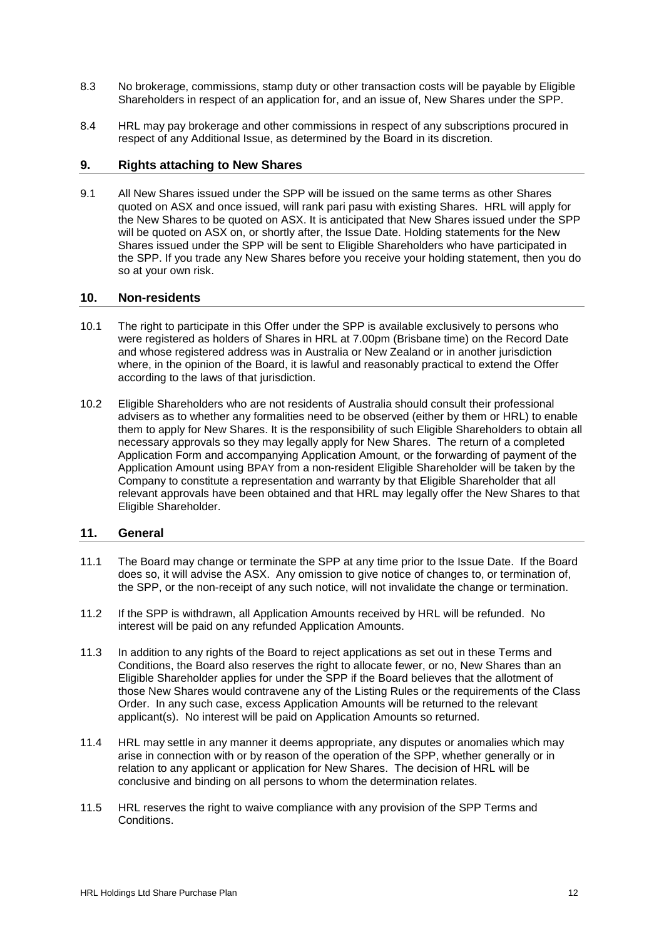- 8.3 No brokerage, commissions, stamp duty or other transaction costs will be payable by Eligible Shareholders in respect of an application for, and an issue of, New Shares under the SPP.
- 8.4 HRL may pay brokerage and other commissions in respect of any subscriptions procured in respect of any Additional Issue, as determined by the Board in its discretion.

#### **9. Rights attaching to New Shares**

9.1 All New Shares issued under the SPP will be issued on the same terms as other Shares quoted on ASX and once issued, will rank pari pasu with existing Shares. HRL will apply for the New Shares to be quoted on ASX. It is anticipated that New Shares issued under the SPP will be quoted on ASX on, or shortly after, the Issue Date. Holding statements for the New Shares issued under the SPP will be sent to Eligible Shareholders who have participated in the SPP. If you trade any New Shares before you receive your holding statement, then you do so at your own risk.

#### **10. Non-residents**

- 10.1 The right to participate in this Offer under the SPP is available exclusively to persons who were registered as holders of Shares in HRL at 7.00pm (Brisbane time) on the Record Date and whose registered address was in Australia or New Zealand or in another jurisdiction where, in the opinion of the Board, it is lawful and reasonably practical to extend the Offer according to the laws of that jurisdiction.
- <span id="page-13-0"></span>10.2 Eligible Shareholders who are not residents of Australia should consult their professional advisers as to whether any formalities need to be observed (either by them or HRL) to enable them to apply for New Shares. It is the responsibility of such Eligible Shareholders to obtain all necessary approvals so they may legally apply for New Shares. The return of a completed Application Form and accompanying Application Amount, or the forwarding of payment of the Application Amount using BPAY from a non-resident Eligible Shareholder will be taken by the Company to constitute a representation and warranty by that Eligible Shareholder that all relevant approvals have been obtained and that HRL may legally offer the New Shares to that Eligible Shareholder.

### **11. General**

- <span id="page-13-1"></span>11.1 The Board may change or terminate the SPP at any time prior to the Issue Date. If the Board does so, it will advise the ASX. Any omission to give notice of changes to, or termination of, the SPP, or the non-receipt of any such notice, will not invalidate the change or termination.
- 11.2 If the SPP is withdrawn, all Application Amounts received by HRL will be refunded. No interest will be paid on any refunded Application Amounts.
- 11.3 In addition to any rights of the Board to reject applications as set out in these Terms and Conditions, the Board also reserves the right to allocate fewer, or no, New Shares than an Eligible Shareholder applies for under the SPP if the Board believes that the allotment of those New Shares would contravene any of the Listing Rules or the requirements of the Class Order. In any such case, excess Application Amounts will be returned to the relevant applicant(s). No interest will be paid on Application Amounts so returned.
- 11.4 HRL may settle in any manner it deems appropriate, any disputes or anomalies which may arise in connection with or by reason of the operation of the SPP, whether generally or in relation to any applicant or application for New Shares. The decision of HRL will be conclusive and binding on all persons to whom the determination relates.
- 11.5 HRL reserves the right to waive compliance with any provision of the SPP Terms and Conditions.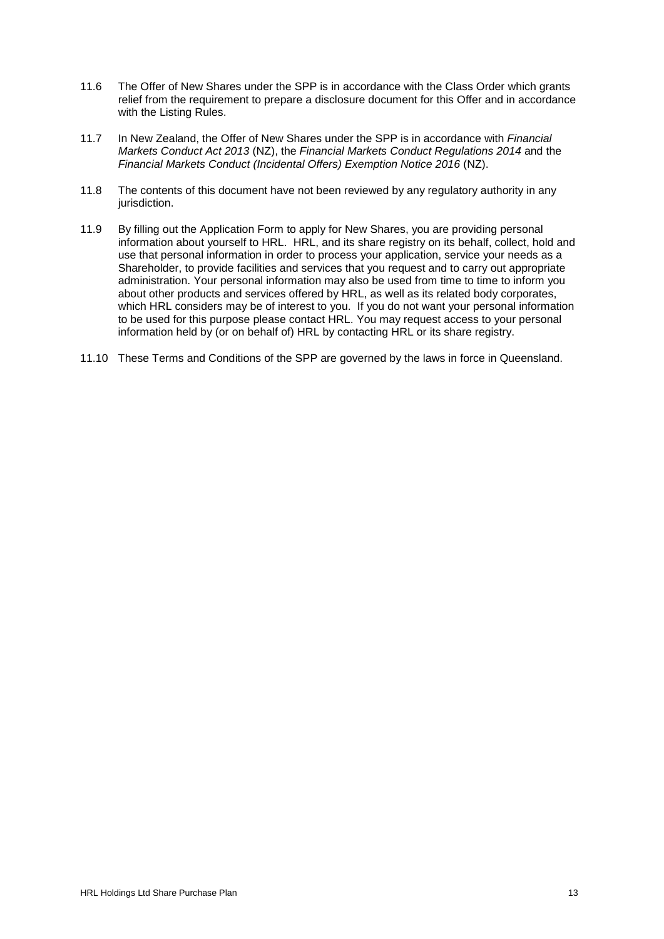- 11.6 The Offer of New Shares under the SPP is in accordance with the Class Order which grants relief from the requirement to prepare a disclosure document for this Offer and in accordance with the Listing Rules.
- 11.7 In New Zealand, the Offer of New Shares under the SPP is in accordance with *Financial Markets Conduct Act 2013* (NZ), the *Financial Markets Conduct Regulations 2014* and the *Financial Markets Conduct (Incidental Offers) Exemption Notice 2016* (NZ).
- 11.8 The contents of this document have not been reviewed by any regulatory authority in any jurisdiction.
- 11.9 By filling out the Application Form to apply for New Shares, you are providing personal information about yourself to HRL. HRL, and its share registry on its behalf, collect, hold and use that personal information in order to process your application, service your needs as a Shareholder, to provide facilities and services that you request and to carry out appropriate administration. Your personal information may also be used from time to time to inform you about other products and services offered by HRL, as well as its related body corporates, which HRL considers may be of interest to you. If you do not want your personal information to be used for this purpose please contact HRL. You may request access to your personal information held by (or on behalf of) HRL by contacting HRL or its share registry.
- 11.10 These Terms and Conditions of the SPP are governed by the laws in force in Queensland.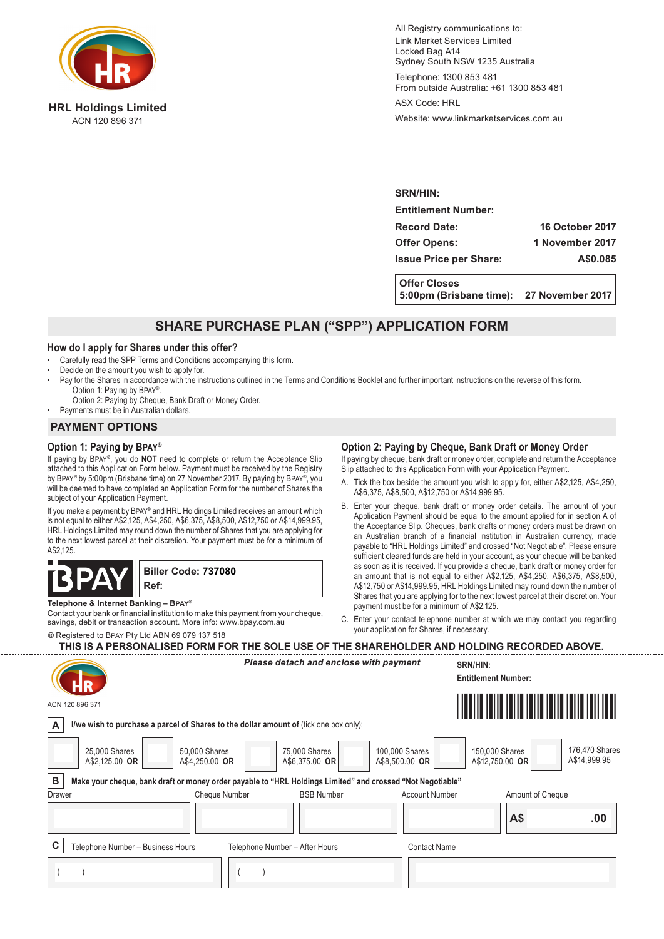

**HRL Holdings Limited** ACN 120 896 371

All Registry communications to: Link Market Services Limited Locked Bag A14 Sydney South NSW 1235 Australia

Telephone: 1300 853 481 From outside Australia: +61 1300 853 481

ASX Code: HRL

Website: www.linkmarketservices.com.au

**SRN/HIN: Entitlement Number: Record Date: 16 October 2017 Offer Opens: 1 November 2017 Issue Price per Share: A\$0.085**

**Offer Closes 5:00pm (Brisbane time): 27 November 2017**

## **SHARE PURCHASE PLAN ("SPP") APPLICATION FORM**

#### **How do I apply for Shares under this offer?**

- Carefully read the SPP Terms and Conditions accompanying this form.
- Decide on the amount you wish to apply for.
- Pay for the Shares in accordance with the instructions outlined in the Terms and Conditions Booklet and further important instructions on the reverse of this form. Option 1: Paying by Bpay®.
- Option 2: Paying by Cheque, Bank Draft or Money Order. • Payments must be in Australian dollars.

## **PAYMENT OPTIONS**

## **Option 1: Paying by Bpay®**

If paying by Bpay®, you do **NOT** need to complete or return the Acceptance Slip attached to this Application Form below. Payment must be received by the Registry by BPAY® by 5:00pm (Brisbane time) on 27 November 2017. By paying by BPAY®, you will be deemed to have completed an Application Form for the number of Shares the subject of your Application Payment.

If you make a payment by Bpay® and HRL Holdings Limited receives an amount which is not equal to either A\$2,125, A\$4,250, A\$6,375, A\$8,500, A\$12,750 or A\$14,999.95, HRL Holdings Limited may round down the number of Shares that you are applying for to the next lowest parcel at their discretion. Your payment must be for a minimum of A\$2,125.



**Telephone & Internet Banking – Bpay®**

Contact your bank or financial institution to make this payment from your cheque, savings, debit or transaction account. More info: www.bpay.com.au

® Registered to Bpay Pty Ltd ABN 69 079 137 518

#### **Option 2: Paying by Cheque, Bank Draft or Money Order**

If paying by cheque, bank draft or money order, complete and return the Acceptance Slip attached to this Application Form with your Application Payment.

- A. Tick the box beside the amount you wish to apply for, either A\$2,125, A\$4,250, A\$6,375, A\$8,500, A\$12,750 or A\$14,999.95.
- B. Enter your cheque, bank draft or money order details. The amount of your Application Payment should be equal to the amount applied for in section A of the Acceptance Slip. Cheques, bank drafts or money orders must be drawn on an Australian branch of a financial institution in Australian currency, made payable to "HRL Holdings Limited" and crossed "Not Negotiable". Please ensure sufficient cleared funds are held in your account, as your cheque will be banked as soon as it is received. If you provide a cheque, bank draft or money order for an amount that is not equal to either A\$2,125, A\$4,250, A\$6,375, A\$8,500, A\$12,750 or A\$14,999.95, HRL Holdings Limited may round down the number of Shares that you are applying for to the next lowest parcel at their discretion. Your payment must be for a minimum of A\$2,125.
- C. Enter your contact telephone number at which we may contact you regarding your application for Shares, if necessary.

| THIS IS A PERSONALISED FORM FOR THE SOLE USE OF THE SHAREHOLDER AND HOLDING RECORDED ABOVE. |
|---------------------------------------------------------------------------------------------|
|---------------------------------------------------------------------------------------------|

|             | ACN 120 896 371                                                                                            | Please detach and enclose with payment |                   |                                  | SRN/HIN:<br><b>Entitlement Number:</b> |                                |
|-------------|------------------------------------------------------------------------------------------------------------|----------------------------------------|-------------------|----------------------------------|----------------------------------------|--------------------------------|
| A           | I/we wish to purchase a parcel of Shares to the dollar amount of (tick one box only):                      |                                        |                   |                                  |                                        |                                |
|             | 50,000 Shares<br>25,000 Shares<br>A\$4,250.00 OR<br>A\$2,125.00 OR                                         | 75,000 Shares<br>A\$6,375.00 OR        |                   | 100,000 Shares<br>A\$8,500.00 OR | 150,000 Shares<br>A\$12,750.00 OR      | 176,470 Shares<br>A\$14,999.95 |
| В           | Make your cheque, bank draft or money order payable to "HRL Holdings Limited" and crossed "Not Negotiable" |                                        |                   |                                  |                                        |                                |
| Drawer      | Cheque Number                                                                                              |                                        | <b>BSB Number</b> | <b>Account Number</b>            | Amount of Cheque                       |                                |
|             |                                                                                                            |                                        |                   |                                  | A\$                                    | .00                            |
| $\mathbf c$ | Telephone Number - Business Hours                                                                          | Telephone Number - After Hours         |                   | <b>Contact Name</b>              |                                        |                                |
|             |                                                                                                            |                                        |                   |                                  |                                        |                                |